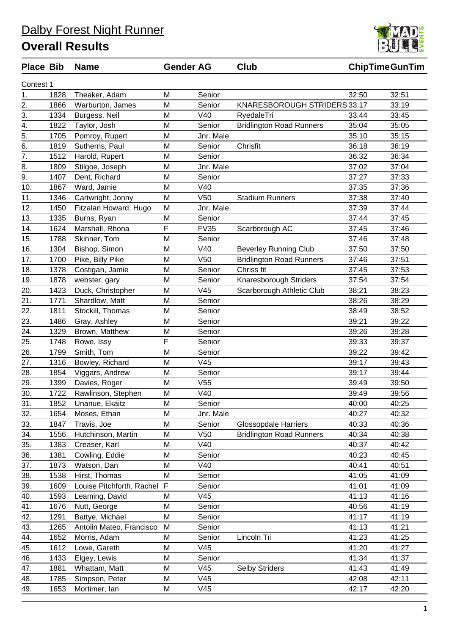| שוש טשו ו        |      |                           |             |                 |                                 |       | unp mutuum m |
|------------------|------|---------------------------|-------------|-----------------|---------------------------------|-------|--------------|
| Contest 1        |      |                           |             |                 |                                 |       |              |
| 1.               | 1828 | Theaker, Adam             | M           | Senior          |                                 | 32:50 | 32:51        |
| 2.               | 1866 | Warburton, James          | M           | Senior          | KNARESBOROUGH STRIDERS 33:17    |       | 33:19        |
| 3.               | 1334 | Burgess, Neil             | M           | V40             | RyedaleTri                      | 33:44 | 33:45        |
| $\overline{4}$ . | 1822 | Taylor, Josh              | M           | Senior          | <b>Bridlington Road Runners</b> | 35:04 | 35:05        |
| $\overline{5}$ . | 1705 | Pomroy, Rupert            | M           | Jnr. Male       |                                 | 35:10 | 35:15        |
| 6.               | 1819 | Sutherns, Paul            | M           | Senior          | Chrisfit                        | 36:18 | 36:19        |
| 7.               | 1512 | Harold, Rupert            | M           | Senior          |                                 | 36:32 | 36:34        |
| 8.               | 1809 | Stilgoe, Joseph           | M           | Jnr. Male       |                                 | 37:02 | 37:04        |
| 9.               | 1407 | Dent, Richard             | M           | Senior          |                                 | 37:27 | 37:33        |
| 10.              | 1867 | Ward, Jamie               | M           | V40             |                                 | 37:35 | 37:36        |
| 11.              | 1346 | Cartwright, Jonny         | M           | V <sub>50</sub> | <b>Stadium Runners</b>          | 37:38 | 37:40        |
| 12.              | 1450 | Fitzalan Howard, Hugo     | M           | Jnr. Male       |                                 | 37:39 | 37:44        |
| 13.              | 1335 | Burns, Ryan               | M           | Senior          |                                 | 37:44 | 37:45        |
| 14.              | 1624 | Marshall, Rhona           | F           | <b>FV35</b>     | Scarborough AC                  | 37:45 | 37:46        |
| 15.              | 1788 | Skinner, Tom              | M           | Senior          |                                 | 37:46 | 37:48        |
| 16.              | 1304 | Bishop, Simon             | M           | V40             | <b>Beverley Running Club</b>    | 37:50 | 37:50        |
| 17.              | 1700 | Pike, Billy Pike          | M           | V <sub>50</sub> | <b>Bridlington Road Runners</b> | 37:46 | 37:51        |
| 18.              | 1378 | Costigan, Jamie           | M           | Senior          | Chriss fit                      | 37:45 | 37:53        |
| 19.              | 1878 | webster, gary             | M           | Senior          | Knaresborough Striders          | 37:54 | 37:54        |
| 20.              | 1423 | Duck, Christopher         | M           | V45             | Scarborough Athletic Club       | 38:21 | 38:23        |
| 21.              | 1771 | Shardlow, Matt            | M           | Senior          |                                 | 38:26 | 38:29        |
| 22.              | 1811 | Stockill, Thomas          | M           | Senior          |                                 | 38:49 | 38:52        |
| 23.              | 1486 | Gray, Ashley              | M           | Senior          |                                 | 39:21 | 39:22        |
| 24.              | 1329 | Brown, Matthew            | M           | Senior          |                                 | 39:26 | 39:28        |
| 25.              | 1748 | Rowe, Issy                | F           | Senior          |                                 | 39:33 | 39:37        |
| 26.              | 1799 | Smith, Tom                | M           | Senior          |                                 | 39:22 | 39:42        |
| 27.              | 1316 | Bowley, Richard           | M           | V45             |                                 | 39:17 | 39:43        |
| 28.              | 1854 | Viggars, Andrew           | M           | Senior          |                                 | 39:17 | 39:44        |
| 29.              | 1399 | Davies, Roger             | M           | V55             |                                 | 39:49 | 39:50        |
| 30.              | 1722 | Rawlinson, Stephen        | M           | V40             |                                 | 39:49 | 39:56        |
| 31.              | 1852 | Unanue, Ekaitz            | M           | Senior          |                                 | 40:00 | 40:25        |
| 32.              | 1654 | Moses, Ethan              | M           | Jnr. Male       |                                 | 40:27 | 40:32        |
| 33.              | 1847 | Travis, Joe               | M           | Senior          | <b>Glossopdale Harriers</b>     | 40:33 | 40:36        |
| 34.              | 1556 | Hutchinson, Martin        | M           | V <sub>50</sub> | <b>Bridlington Road Runners</b> | 40:34 | 40:38        |
| 35.              | 1383 | Creaser, Karl             | M           | V40             |                                 | 40:37 | 40:42        |
| 36.              | 1381 | Cowling, Eddie            | M           | Senior          |                                 | 40:23 | 40:45        |
| 37.              | 1873 | Watson, Dan               | M           | V40             |                                 | 40:41 | 40:51        |
| 38.              | 1538 | Hirst, Thomas             | M           | Senior          |                                 | 41:05 | 41:09        |
| 39.              | 1609 | Louise Pitchforth, Rachel | $\mathsf F$ | Senior          |                                 | 41:01 | 41:09        |
| 40.              | 1593 | Leaming, David            | M           | V45             |                                 | 41:13 | 41:16        |
| 41.              | 1676 | Nutt, George              | M           | Senior          |                                 | 40:56 | 41:19        |
| 42.              | 1291 | Battye, Michael           | M           | Senior          |                                 | 41:17 | 41:19        |
| 43.              | 1265 | Antolin Mateo, Francisco  | M           | Senior          |                                 | 41:13 | 41:21        |
| 44.              | 1652 | Morris, Adam              | M           | Senior          | Lincoln Tri                     | 41:23 | 41:25        |
| 45.              | 1612 | Lowe, Gareth              | M           | V45             |                                 | 41:20 | 41:27        |
| 46.              | 1433 | Elgey, Lewis              | M           | Senior          |                                 | 41:34 | 41:37        |
| 47.              | 1881 | Whattam, Matt             | M           | V45             | <b>Selby Striders</b>           | 41:43 | 41:49        |
| 48.              | 1785 | Simpson, Peter            | M           | V45             |                                 | 42:08 | 42:11        |
| 49.              | 1653 | Mortimer, Ian             | M           | V45             |                                 | 42:17 | 42:20        |



**Place Bib Name Gender AG Club ChipTimeGunTim**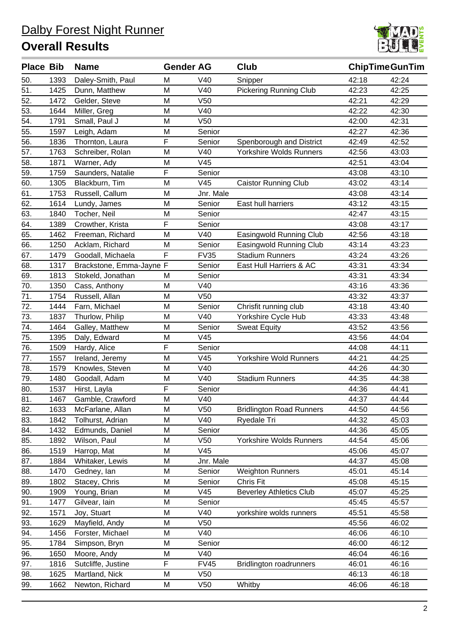

| <b>Place Bib</b> |      | <b>Name</b>              | <b>Gender AG</b> |                 | Club                            | <b>ChipTimeGunTim</b> |       |
|------------------|------|--------------------------|------------------|-----------------|---------------------------------|-----------------------|-------|
| 50.              | 1393 | Daley-Smith, Paul        | M                | V40             | Snipper                         | 42:18                 | 42:24 |
| 51.              | 1425 | Dunn, Matthew            | M                | V40             | <b>Pickering Running Club</b>   | 42:23                 | 42:25 |
| 52.              | 1472 | Gelder, Steve            | M                | V <sub>50</sub> |                                 | 42:21                 | 42:29 |
| 53.              | 1644 | Miller, Greg             | M                | V40             |                                 | 42:22                 | 42:30 |
| 54.              | 1791 | Small, Paul J            | M                | V <sub>50</sub> |                                 | 42:00                 | 42:31 |
| 55.              | 1597 | Leigh, Adam              | M                | Senior          |                                 | 42:27                 | 42:36 |
| 56.              | 1836 | Thornton, Laura          | F                | Senior          | Spenborough and District        | 42:49                 | 42:52 |
| 57.              | 1763 | Schreiber, Rolan         | M                | V40             | <b>Yorkshire Wolds Runners</b>  | 42:56                 | 43:03 |
| 58.              | 1871 | Warner, Ady              | M                | V45             |                                 | 42:51                 | 43:04 |
| 59.              | 1759 | Saunders, Natalie        | F                | Senior          |                                 | 43:08                 | 43:10 |
| 60.              | 1305 | Blackburn, Tim           | M                | V45             | <b>Caistor Running Club</b>     | 43:02                 | 43:14 |
| 61.              | 1753 | Russell, Callum          | M                | Jnr. Male       |                                 | 43:08                 | 43:14 |
| 62.              | 1614 | Lundy, James             | M                | Senior          | East hull harriers              | 43:12                 | 43:15 |
| 63.              | 1840 | Tocher, Neil             | M                | Senior          |                                 | 42:47                 | 43:15 |
| 64.              | 1389 | Crowther, Krista         | F                | Senior          |                                 | 43:08                 | 43:17 |
| 65.              | 1462 | Freeman, Richard         | M                | V40             | Easingwold Running Club         | 42:56                 | 43:18 |
| 66.              | 1250 | Acklam, Richard          | M                | Senior          | Easingwold Running Club         | 43:14                 | 43:23 |
| 67.              | 1479 | Goodall, Michaela        | F                | <b>FV35</b>     | <b>Stadium Runners</b>          | 43:24                 | 43:26 |
| 68.              | 1317 | Brackstone, Emma-Jayne F |                  | Senior          | East Hull Harriers & AC         | 43:31                 | 43:34 |
| 69.              | 1813 | Stokeld, Jonathan        | М                | Senior          |                                 | 43:31                 | 43:34 |
| 70.              | 1350 | Cass, Anthony            | M                | V40             |                                 | 43:16                 | 43:36 |
| 71.              | 1754 | Russell, Allan           | M                | V <sub>50</sub> |                                 | 43:32                 | 43:37 |
| $\overline{72.}$ | 1444 | Farn, Michael            | M                | Senior          | Chrisfit running club           | 43:18                 | 43:40 |
| 73.              | 1837 | Thurlow, Philip          | M                | V40             | Yorkshire Cycle Hub             | 43:33                 | 43:48 |
| 74.              | 1464 | Galley, Matthew          | M                | Senior          | <b>Sweat Equity</b>             | 43:52                 | 43:56 |
| 75.              | 1395 | Daly, Edward             | M                | V45             |                                 | 43:56                 | 44:04 |
| 76.              | 1509 | Hardy, Alice             | F                | Senior          |                                 | 44:08                 | 44:11 |
| 77.              | 1557 | Ireland, Jeremy          | M                | V45             | <b>Yorkshire Wold Runners</b>   | 44:21                 | 44:25 |
| 78.              | 1579 | Knowles, Steven          | M                | V40             |                                 | 44:26                 | 44:30 |
| 79.              | 1480 | Goodall, Adam            | M                | V40             | <b>Stadium Runners</b>          | 44:35                 | 44:38 |
| 80.              | 1537 | Hirst, Layla             | F                | Senior          |                                 | 44:36                 | 44:41 |
| 81.              | 1467 | Gamble, Crawford         | M                | V40             |                                 | 44:37                 | 44:44 |
| 82.              | 1633 | McFarlane, Allan         | M                | V <sub>50</sub> | <b>Bridlington Road Runners</b> | 44:50                 | 44:56 |
| 83.              | 1842 | Tolhurst, Adrian         | M                | V40             | Ryedale Tri                     | 44:32                 | 45:03 |
| 84.              | 1432 | Edmunds, Daniel          | M                | Senior          |                                 | 44:36                 | 45:05 |
| 85.              | 1892 | Wilson, Paul             | M                | V50             | Yorkshire Wolds Runners         | 44:54                 | 45:06 |
| 86.              | 1519 | Harrop, Mat              | M                | V45             |                                 | 45:06                 | 45:07 |
| 87.              | 1884 | Whitaker, Lewis          | M                | Jnr. Male       |                                 | 44:37                 | 45:08 |
| 88.              | 1470 | Gedney, Ian              | M                | Senior          | <b>Weighton Runners</b>         | 45:01                 | 45:14 |
| 89.              | 1802 | Stacey, Chris            | M                | Senior          | Chris Fit                       | 45:08                 | 45:15 |
| 90.              | 1909 | Young, Brian             | M                | V45             | <b>Beverley Athletics Club</b>  | 45:07                 | 45:25 |
| 91.              | 1477 | Gilvear, lain            | M                | Senior          |                                 | 45:45                 | 45:57 |
| 92.              | 1571 | Joy, Stuart              | M                | V40             | yorkshire wolds runners         | 45:51                 | 45:58 |
| 93.              | 1629 | Mayfield, Andy           | M                | V50             |                                 | 45:56                 | 46:02 |
| 94.              | 1456 | Forster, Michael         | M                | V40             |                                 | 46:06                 | 46:10 |
| 95.              | 1784 | Simpson, Bryn            | M                | Senior          |                                 | 46:00                 | 46:12 |
| 96.              | 1650 | Moore, Andy              | M                | V40             |                                 | 46:04                 | 46:16 |
| 97.              | 1816 | Sutcliffe, Justine       | F                | <b>FV45</b>     | <b>Bridlington roadrunners</b>  | 46:01                 | 46:16 |
| 98.              | 1625 | Martland, Nick           | M                | V50             |                                 | 46:13                 | 46:18 |
| 99.              | 1662 | Newton, Richard          | M                | V <sub>50</sub> | Whitby                          | 46:06                 | 46:18 |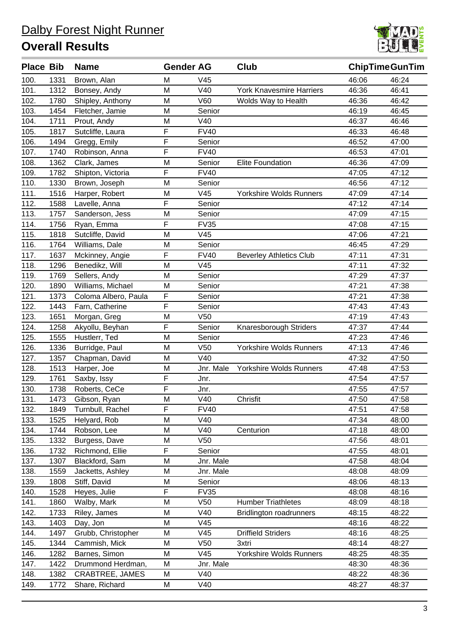

| <b>Place Bib</b> |      | <b>Name</b>            | <b>Gender AG</b> |                 | Club                            | <b>ChipTimeGunTim</b> |       |
|------------------|------|------------------------|------------------|-----------------|---------------------------------|-----------------------|-------|
| 100.             | 1331 | Brown, Alan            | M                | V45             |                                 | 46:06                 | 46:24 |
| 101.             | 1312 | Bonsey, Andy           | M                | V40             | <b>York Knavesmire Harriers</b> | 46:36                 | 46:41 |
| 102.             | 1780 | Shipley, Anthony       | M                | V60             | Wolds Way to Health             | 46:36                 | 46:42 |
| 103.             | 1454 | Fletcher, Jamie        | M                | Senior          |                                 | 46:19                 | 46:45 |
| 104.             | 1711 | Prout, Andy            | M                | V40             |                                 | 46:37                 | 46:46 |
| 105.             | 1817 | Sutcliffe, Laura       | F                | <b>FV40</b>     |                                 | 46:33                 | 46:48 |
| 106.             | 1494 | Gregg, Emily           | F                | Senior          |                                 | 46:52                 | 47:00 |
| 107.             | 1740 | Robinson, Anna         | F                | <b>FV40</b>     |                                 | 46:53                 | 47:01 |
| 108.             | 1362 | Clark, James           | M                | Senior          | <b>Elite Foundation</b>         | 46:36                 | 47:09 |
| 109.             | 1782 | Shipton, Victoria      | F                | <b>FV40</b>     |                                 | 47:05                 | 47:12 |
| 110.             | 1330 | Brown, Joseph          | M                | Senior          |                                 | 46:56                 | 47:12 |
| 111.             | 1516 | Harper, Robert         | M                | V45             | Yorkshire Wolds Runners         | 47:09                 | 47:14 |
| 112.             | 1588 | Lavelle, Anna          | F                | Senior          |                                 | 47:12                 | 47:14 |
| 113.             | 1757 | Sanderson, Jess        | M                | Senior          |                                 | 47:09                 | 47:15 |
| 114.             | 1756 | Ryan, Emma             | F                | <b>FV35</b>     |                                 | 47:08                 | 47:15 |
| 115.             | 1818 | Sutcliffe, David       | M                | V45             |                                 | 47:06                 | 47:21 |
| 116.             | 1764 | Williams, Dale         | M                | Senior          |                                 | 46:45                 | 47:29 |
| 117.             | 1637 | Mckinney, Angie        | F                | <b>FV40</b>     | <b>Beverley Athletics Club</b>  | 47:11                 | 47:31 |
| 118.             | 1296 | Benedikz, Will         | M                | V45             |                                 | 47:11                 | 47:32 |
| 119.             | 1769 | Sellers, Andy          | M                | Senior          |                                 | 47:29                 | 47:37 |
| 120.             | 1890 | Williams, Michael      | M                | Senior          |                                 | 47:21                 | 47:38 |
| 121.             | 1373 | Coloma Albero, Paula   | F                | Senior          |                                 | 47:21                 | 47:38 |
| 122.             | 1443 | Farn, Catherine        | F                | Senior          |                                 | 47:43                 | 47:43 |
| 123.             | 1651 | Morgan, Greg           | M                | V <sub>50</sub> |                                 | 47:19                 | 47:43 |
| 124.             | 1258 | Akyollu, Beyhan        | F                | Senior          | Knaresborough Striders          | 47:37                 | 47:44 |
| 125.             | 1555 | Hustlerr, Ted          | M                | Senior          |                                 | 47:23                 | 47:46 |
| 126.             | 1336 | Burridge, Paul         | M                | V <sub>50</sub> | Yorkshire Wolds Runners         | 47:13                 | 47:46 |
| 127.             | 1357 | Chapman, David         | M                | V40             |                                 | 47:32                 | 47:50 |
| 128.             | 1513 | Harper, Joe            | M                | Jnr. Male       | Yorkshire Wolds Runners         | 47:48                 | 47:53 |
| 129.             | 1761 | Saxby, Issy            | F                | Jnr.            |                                 | 47:54                 | 47:57 |
| 130.             | 1738 | Roberts, CeCe          | F                | Jnr.            |                                 | 47:55                 | 47:57 |
| 131.             | 1473 | Gibson, Ryan           | M                | V40             | Chrisfit                        | 47:50                 | 47:58 |
| 132.             | 1849 | Turnbull, Rachel       | F                | <b>FV40</b>     |                                 | 47:51                 | 47:58 |
| 133.             | 1525 | Helyard, Rob           | M                | V40             |                                 | 47:34                 | 48:00 |
| 134.             | 1744 | Robson, Lee            | M                | V40             | Centurion                       | 47:18                 | 48:00 |
| 135.             | 1332 | Burgess, Dave          | M                | V <sub>50</sub> |                                 | 47:56                 | 48:01 |
| 136.             | 1732 | Richmond, Ellie        | F                | Senior          |                                 | 47:55                 | 48:01 |
| 137.             | 1307 | Blackford, Sam         | M                | Jnr. Male       |                                 | 47:58                 | 48:04 |
| 138.             | 1559 | Jacketts, Ashley       | M                | Jnr. Male       |                                 | 48:08                 | 48:09 |
| 139.             | 1808 | Stiff, David           | M                | Senior          |                                 | 48:06                 | 48:13 |
| 140.             | 1528 | Heyes, Julie           | F                | <b>FV35</b>     |                                 | 48:08                 | 48:16 |
| 141.             | 1860 | Walby, Mark            | M                | V50             | <b>Humber Triathletes</b>       | 48:09                 | 48:18 |
| 142.             | 1733 | Riley, James           | M                | V40             | <b>Bridlington roadrunners</b>  | 48:15                 | 48:22 |
| 143.             | 1403 | Day, Jon               | M                | V45             |                                 | 48:16                 | 48:22 |
| 144.             | 1497 | Grubb, Christopher     | M                | V45             | <b>Driffield Striders</b>       | 48:16                 | 48:25 |
| 145.             | 1344 | Cammish, Mick          | M                | V <sub>50</sub> | 3xtri                           | 48:14                 | 48:27 |
| 146.             | 1282 | Barnes, Simon          | M                | V45             | Yorkshire Wolds Runners         | 48:25                 | 48:35 |
| 147.             | 1422 | Drummond Herdman,      | M                | Jnr. Male       |                                 | 48:30                 | 48:36 |
| 148.             | 1382 | <b>CRABTREE, JAMES</b> | M                | V40             |                                 | 48:22                 | 48:36 |
| 149.             | 1772 | Share, Richard         | Μ                | V40             |                                 | 48:27                 | 48:37 |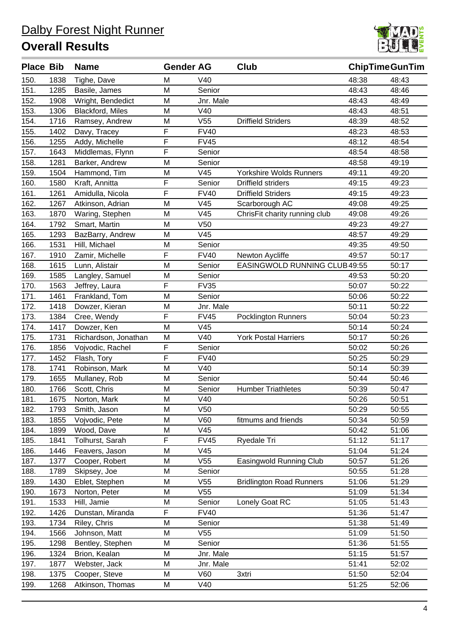

| <b>Place Bib</b> |      | <b>Name</b>             | <b>Gender AG</b> |                 | Club                            | <b>ChipTimeGunTim</b> |       |
|------------------|------|-------------------------|------------------|-----------------|---------------------------------|-----------------------|-------|
| 150.             | 1838 | Tighe, Dave             | M                | V40             |                                 | 48:38                 | 48:43 |
| 151.             | 1285 | Basile, James           | M                | Senior          |                                 | 48:43                 | 48:46 |
| 152.             | 1908 | Wright, Bendedict       | M                | Jnr. Male       |                                 | 48:43                 | 48:49 |
| 153.             | 1306 | <b>Blackford, Miles</b> | M                | V40             |                                 | 48:43                 | 48:51 |
| 154.             | 1716 | Ramsey, Andrew          | M                | V55             | <b>Driffield Striders</b>       | 48:39                 | 48:52 |
| 155.             | 1402 | Davy, Tracey            | F                | <b>FV40</b>     |                                 | 48:23                 | 48:53 |
| 156.             | 1255 | Addy, Michelle          | F                | <b>FV45</b>     |                                 | 48:12                 | 48:54 |
| 157.             | 1643 | Middlemas, Flynn        | F                | Senior          |                                 | 48:54                 | 48:58 |
| 158.             | 1281 | Barker, Andrew          | M                | Senior          |                                 | 48:58                 | 49:19 |
| 159.             | 1504 | Hammond, Tim            | M                | V45             | Yorkshire Wolds Runners         | 49:11                 | 49:20 |
| 160.             | 1580 | Kraft, Annitta          | F                | Senior          | <b>Driffield striders</b>       | 49:15                 | 49:23 |
| 161.             | 1261 | Amidulla, Nicola        | F                | <b>FV40</b>     | <b>Driffield Striders</b>       | 49:15                 | 49:23 |
| 162.             | 1267 | Atkinson, Adrian        | M                | V45             | Scarborough AC                  | 49:08                 | 49:25 |
| 163.             | 1870 | Waring, Stephen         | M                | V45             | ChrisFit charity running club   | 49:08                 | 49:26 |
| 164.             | 1792 | Smart, Martin           | M                | V <sub>50</sub> |                                 | 49:23                 | 49:27 |
| 165.             | 1293 | BazBarry, Andrew        | M                | V45             |                                 | 48:57                 | 49:29 |
| 166.             | 1531 | Hill, Michael           | M                | Senior          |                                 | 49:35                 | 49:50 |
| 167.             | 1910 | Zamir, Michelle         | F                | <b>FV40</b>     | Newton Aycliffe                 | 49:57                 | 50:17 |
| 168.             | 1615 | Lunn, Alistair          | M                | Senior          | EASINGWOLD RUNNING CLUB 49:55   |                       | 50:17 |
| 169.             | 1585 | Langley, Samuel         | M                | Senior          |                                 | 49:53                 | 50:20 |
| 170.             | 1563 | Jeffrey, Laura          | F                | <b>FV35</b>     |                                 | 50:07                 | 50:22 |
| 171.             | 1461 | Frankland, Tom          | M                | Senior          |                                 | 50:06                 | 50:22 |
| 172.             | 1418 | Dowzer, Kieran          | M                | Jnr. Male       |                                 | 50:11                 | 50:22 |
| 173.             | 1384 | Cree, Wendy             | F                | <b>FV45</b>     | <b>Pocklington Runners</b>      | 50:04                 | 50:23 |
| 174.             | 1417 | Dowzer, Ken             | M                | V45             |                                 | 50:14                 | 50:24 |
| 175.             | 1731 | Richardson, Jonathan    | M                | V40             | <b>York Postal Harriers</b>     | 50:17                 | 50:26 |
| 176.             | 1856 | Vojvodic, Rachel        | F                | Senior          |                                 | 50:02                 | 50:26 |
| 177.             | 1452 | Flash, Tory             | F                | <b>FV40</b>     |                                 | 50:25                 | 50:29 |
| 178.             | 1741 | Robinson, Mark          | M                | V40             |                                 | 50:14                 | 50:39 |
| 179.             | 1655 | Mullaney, Rob           | M                | Senior          |                                 | 50:44                 | 50:46 |
| 180.             | 1766 | Scott, Chris            | M                | Senior          | <b>Humber Triathletes</b>       | 50:39                 | 50:47 |
| 181.             | 1675 | Norton, Mark            | M                | V40             |                                 | 50:26                 | 50:51 |
| 182.             | 1793 | Smith, Jason            | M                | V <sub>50</sub> |                                 | 50:29                 | 50:55 |
| 183.             | 1855 | Vojvodic, Pete          | M                | V60             | fitmums and friends             | 50:34                 | 50:59 |
| 184.             | 1899 | Wood, Dave              | M                | V45             |                                 | 50:42                 | 51:06 |
| 185.             | 1841 | Tolhurst, Sarah         | F                | <b>FV45</b>     | Ryedale Tri                     | 51:12                 | 51:17 |
| 186.             | 1446 | Feavers, Jason          | M                | V45             |                                 | 51:04                 | 51:24 |
| 187.             | 1377 | Cooper, Robert          | M                | V55             | Easingwold Running Club         | 50:57                 | 51:26 |
| 188.             | 1789 | Skipsey, Joe            | M                | Senior          |                                 | 50:55                 | 51:28 |
| 189.             | 1430 | Eblet, Stephen          | M                | V55             | <b>Bridlington Road Runners</b> | 51:06                 | 51:29 |
| 190.             | 1673 | Norton, Peter           | M                | V55             |                                 | 51:09                 | 51:34 |
| 191.             | 1533 | Hill, Jamie             | M                | Senior          | Lonely Goat RC                  | 51:05                 | 51:43 |
| 192.             | 1426 | Dunstan, Miranda        | F                | <b>FV40</b>     |                                 | 51:36                 | 51:47 |
| 193.             | 1734 | Riley, Chris            | M                | Senior          |                                 | 51:38                 | 51:49 |
| 194.             | 1566 | Johnson, Matt           | M                | V55             |                                 | 51:09                 | 51:50 |
| 195.             | 1298 | Bentley, Stephen        | M                | Senior          |                                 | 51:36                 | 51:55 |
| 196.             | 1324 | Brion, Kealan           | M                | Jnr. Male       |                                 | 51:15                 | 51:57 |
| 197.             | 1877 | Webster, Jack           | M                | Jnr. Male       |                                 | 51:41                 | 52:02 |
| 198.             | 1375 | Cooper, Steve           | M                | <b>V60</b>      | 3xtri                           | 51:50                 | 52:04 |
| 199.             | 1268 | Atkinson, Thomas        | M                | V40             |                                 | 51:25                 | 52:06 |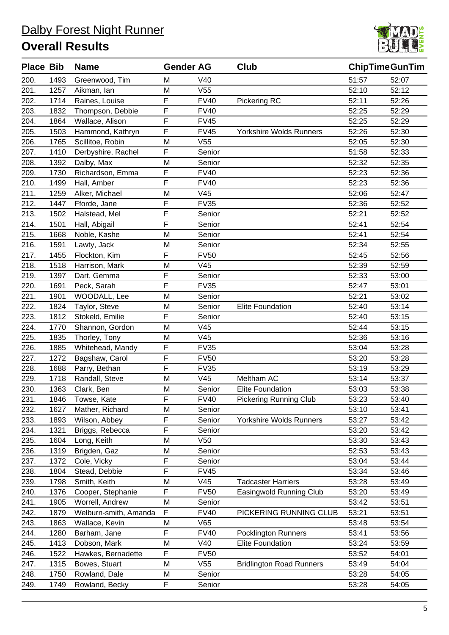

| <b>Place Bib</b> |      | <b>Name</b>           | <b>Gender AG</b> |                 | Club                            | <b>ChipTimeGunTim</b> |       |
|------------------|------|-----------------------|------------------|-----------------|---------------------------------|-----------------------|-------|
| 200.             | 1493 | Greenwood, Tim        | Μ                | V40             |                                 | 51:57                 | 52:07 |
| 201.             | 1257 | Aikman, lan           | M                | V <sub>55</sub> |                                 | 52:10                 | 52:12 |
| 202.             | 1714 | Raines, Louise        | F                | <b>FV40</b>     | Pickering RC                    | 52:11                 | 52:26 |
| 203.             | 1832 | Thompson, Debbie      | F                | <b>FV40</b>     |                                 | 52:25                 | 52:29 |
| 204.             | 1864 | Wallace, Alison       | F                | <b>FV45</b>     |                                 | 52:25                 | 52:29 |
| 205.             | 1503 | Hammond, Kathryn      | F                | <b>FV45</b>     | Yorkshire Wolds Runners         | 52:26                 | 52:30 |
| 206.             | 1765 | Scillitoe, Robin      | M                | V55             |                                 | 52:05                 | 52:30 |
| 207.             | 1410 | Derbyshire, Rachel    | F                | Senior          |                                 | 51:58                 | 52:33 |
| 208.             | 1392 | Dalby, Max            | M                | Senior          |                                 | 52:32                 | 52:35 |
| 209.             | 1730 | Richardson, Emma      | F                | <b>FV40</b>     |                                 | 52:23                 | 52:36 |
| 210.             | 1499 | Hall, Amber           | F                | <b>FV40</b>     |                                 | 52:23                 | 52:36 |
| 211.             | 1259 | Alker, Michael        | M                | V45             |                                 | 52:06                 | 52:47 |
| 212.             | 1447 | Fforde, Jane          | F                | <b>FV35</b>     |                                 | 52:36                 | 52:52 |
| 213.             | 1502 | Halstead, Mel         | F                | Senior          |                                 | 52:21                 | 52:52 |
| 214.             | 1501 | Hall, Abigail         | F                | Senior          |                                 | 52:41                 | 52:54 |
| 215.             | 1668 | Noble, Kashe          | M                | Senior          |                                 | 52:41                 | 52:54 |
| 216.             | 1591 | Lawty, Jack           | M                | Senior          |                                 | 52:34                 | 52:55 |
| 217.             | 1455 | Flockton, Kim         | F                | <b>FV50</b>     |                                 | 52:45                 | 52:56 |
| 218.             | 1518 | Harrison, Mark        | M                | V45             |                                 | 52:39                 | 52:59 |
| 219.             | 1397 | Dart, Gemma           | F                | Senior          |                                 | 52:33                 | 53:00 |
| 220.             | 1691 | Peck, Sarah           | F                | <b>FV35</b>     |                                 | 52:47                 | 53:01 |
| 221.             | 1901 | WOODALL, Lee          | M                | Senior          |                                 | 52:21                 | 53:02 |
| 222.             | 1824 | Taylor, Steve         | M                | Senior          | Elite Foundation                | 52:40                 | 53:14 |
| 223.             | 1812 | Stokeld, Emilie       | F                | Senior          |                                 | 52:40                 | 53:15 |
| 224.             | 1770 | Shannon, Gordon       | M                | V45             |                                 | 52:44                 | 53:15 |
| 225.             | 1835 | Thorley, Tony         | M                | V45             |                                 | 52:36                 | 53:16 |
| 226.             | 1885 | Whitehead, Mandy      | F                | <b>FV35</b>     |                                 | 53:04                 | 53:28 |
| 227.             | 1272 | Bagshaw, Carol        | F                | <b>FV50</b>     |                                 | 53:20                 | 53:28 |
| 228.             | 1688 | Parry, Bethan         | F                | <b>FV35</b>     |                                 | 53:19                 | 53:29 |
| 229.             | 1718 | Randall, Steve        | M                | V45             | Meltham AC                      | 53:14                 | 53:37 |
| 230.             | 1363 | Clark, Ben            | M                | Senior          | <b>Elite Foundation</b>         | 53:03                 | 53:38 |
| 231.             | 1846 | Towse, Kate           | F                | <b>FV40</b>     | <b>Pickering Running Club</b>   | 53:23                 | 53:40 |
| 232.             | 1627 | Mather, Richard       | M                | Senior          |                                 | 53:10                 | 53:41 |
| 233.             | 1893 | Wilson, Abbey         | F                | Senior          | Yorkshire Wolds Runners         | 53:27                 | 53:42 |
| 234.             | 1321 | Briggs, Rebecca       | F                | Senior          |                                 | 53:20                 | 53:42 |
| 235.             | 1604 | Long, Keith           | M                | V <sub>50</sub> |                                 | 53:30                 | 53:43 |
| 236.             | 1319 | Brigden, Gaz          | M                | Senior          |                                 | 52:53                 | 53:43 |
| 237.             | 1372 | Cole, Vicky           | F                | Senior          |                                 | 53:04                 | 53:44 |
| 238.             | 1804 | Stead, Debbie         | F                | <b>FV45</b>     |                                 | 53:34                 | 53:46 |
| 239.             | 1798 | Smith, Keith          | M                | V45             | <b>Tadcaster Harriers</b>       | 53:28                 | 53:49 |
| 240.             | 1376 | Cooper, Stephanie     | F                | <b>FV50</b>     | Easingwold Running Club         | 53:20                 | 53:49 |
| 241.             | 1905 | Worrell, Andrew       | M                | Senior          |                                 | 53:42                 | 53:51 |
| 242.             | 1879 | Welburn-smith, Amanda | F                | <b>FV40</b>     | PICKERING RUNNING CLUB          | 53:21                 | 53:51 |
| 243.             | 1863 | Wallace, Kevin        | M                | V65             |                                 | 53:48                 | 53:54 |
| 244.             | 1280 | Barham, Jane          | F                | <b>FV40</b>     | <b>Pocklington Runners</b>      | 53:41                 | 53:56 |
| 245.             | 1413 | Dobson, Mark          | M                | V40             | <b>Elite Foundation</b>         | 53:24                 | 53:59 |
| 246.             | 1522 | Hawkes, Bernadette    | F                | <b>FV50</b>     |                                 | 53:52                 | 54:01 |
| 247.             | 1315 | Bowes, Stuart         | M                | V55             | <b>Bridlington Road Runners</b> | 53:49                 | 54:04 |
| 248.             | 1750 | Rowland, Dale         | M                | Senior          |                                 | 53:28                 | 54:05 |
| 249.             | 1749 | Rowland, Becky        | F                | Senior          |                                 | 53:28                 | 54:05 |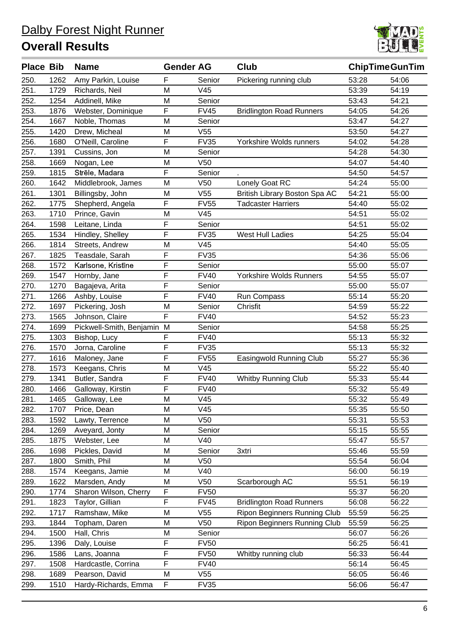

| <b>Place Bib</b> |      | <b>Name</b>              | <b>Gender AG</b> |                 | <b>Club</b>                         | <b>ChipTimeGunTim</b> |       |
|------------------|------|--------------------------|------------------|-----------------|-------------------------------------|-----------------------|-------|
| 250.             | 1262 | Amy Parkin, Louise       | F                | Senior          | Pickering running club              | 53:28                 | 54:06 |
| 251.             | 1729 | Richards, Neil           | M                | V45             |                                     | 53:39                 | 54:19 |
| 252.             | 1254 | Addinell, Mike           | M                | Senior          |                                     | 53:43                 | 54:21 |
| 253.             | 1876 | Webster, Dominique       | F                | <b>FV45</b>     | <b>Bridlington Road Runners</b>     | 54:05                 | 54:26 |
| 254.             | 1667 | Noble, Thomas            | M                | Senior          |                                     | 53:47                 | 54:27 |
| 255.             | 1420 | Drew, Micheal            | M                | V55             |                                     | 53:50                 | 54:27 |
| 256.             | 1680 | O'Neill, Caroline        | F                | <b>FV35</b>     | Yorkshire Wolds runners             | 54:02                 | 54:28 |
| 257.             | 1391 | Cussins, Jon             | M                | Senior          |                                     | 54:28                 | 54:30 |
| 258.             | 1669 | Nogan, Lee               | M                | V <sub>50</sub> |                                     | 54:07                 | 54:40 |
| 259.             | 1815 | Strēle, Madara           | F                | Senior          |                                     | 54:50                 | 54:57 |
| 260.             | 1642 | Middlebrook, James       | M                | V <sub>50</sub> | Lonely Goat RC                      | 54:24                 | 55:00 |
| 261.             | 1301 | Billingsby, John         | M                | V55             | British Library Boston Spa AC       | 54:21                 | 55:00 |
| 262.             | 1775 | Shepherd, Angela         | F                | <b>FV55</b>     | <b>Tadcaster Harriers</b>           | 54:40                 | 55:02 |
| 263.             | 1710 | Prince, Gavin            | M                | V45             |                                     | 54:51                 | 55:02 |
| 264.             | 1598 | Leitane, Linda           | F                | Senior          |                                     | 54:51                 | 55:02 |
| 265.             | 1534 | Hindley, Shelley         | F                | <b>FV35</b>     | West Hull Ladies                    | 54:25                 | 55:04 |
| 266.             | 1814 | Streets, Andrew          | M                | V45             |                                     | 54:40                 | 55:05 |
| 267.             | 1825 | Teasdale, Sarah          | F                | <b>FV35</b>     |                                     | 54:36                 | 55:06 |
| 268.             | 1572 | Karlsone, Kristīne       | F                | Senior          |                                     | 55:00                 | 55:07 |
| 269.             | 1547 | Hornby, Jane             | F                | <b>FV40</b>     | Yorkshire Wolds Runners             | 54:55                 | 55:07 |
| 270.             | 1270 | Bagajeva, Arita          | F                | Senior          |                                     | 55:00                 | 55:07 |
| 271.             | 1266 | Ashby, Louise            | F                | <b>FV40</b>     | Run Compass                         | 55:14                 | 55:20 |
| 272.             | 1697 | Pickering, Josh          | M                | Senior          | Chrisfit                            | 54:59                 | 55:22 |
| 273.             | 1565 | Johnson, Claire          | F                | <b>FV40</b>     |                                     | 54:52                 | 55:23 |
| 274.             | 1699 | Pickwell-Smith, Benjamin | M                | Senior          |                                     | 54:58                 | 55:25 |
| 275.             | 1303 | Bishop, Lucy             | F                | <b>FV40</b>     |                                     | 55:13                 | 55:32 |
| 276.             | 1570 | Jorna, Caroline          | F                | <b>FV35</b>     |                                     | 55:13                 | 55:32 |
| 277.             | 1616 | Maloney, Jane            | F                | <b>FV55</b>     | Easingwold Running Club             | 55:27                 | 55:36 |
| 278.             | 1573 | Keegans, Chris           | M                | V45             |                                     | 55:22                 | 55:40 |
| 279.             | 1341 | Butler, Sandra           | F                | <b>FV40</b>     | <b>Whitby Running Club</b>          | 55:33                 | 55:44 |
| 280.             | 1466 | Galloway, Kirstin        | F                | <b>FV40</b>     |                                     | 55:32                 | 55:49 |
| 281.             | 1465 | Galloway, Lee            | M                | V45             |                                     | 55:32                 | 55:49 |
| 282.             | 1707 | Price, Dean              | M                | V <sub>45</sub> |                                     | 55:35                 | 55:50 |
| 283.             | 1592 | Lawty, Terrence          | M                | V <sub>50</sub> |                                     | 55:31                 | 55:53 |
| 284.             | 1269 | Aveyard, Jonty           | M                | Senior          |                                     | 55:15                 | 55:55 |
| 285.             | 1875 | Webster, Lee             | M                | V40             |                                     | 55:47                 | 55:57 |
| 286.             | 1698 | Pickles, David           | M                | Senior          | 3xtri                               | 55:46                 | 55:59 |
| 287.             | 1800 | Smith, Phil              | M                | V <sub>50</sub> |                                     | 55:54                 | 56:04 |
| 288.             | 1574 | Keegans, Jamie           | М                | V40             |                                     | 56:00                 | 56:19 |
| 289.             | 1622 | Marsden, Andy            | M                | V <sub>50</sub> | Scarborough AC                      | 55:51                 | 56:19 |
| 290.             | 1774 | Sharon Wilson, Cherry    | F                | <b>FV50</b>     |                                     | 55:37                 | 56:20 |
| 291.             | 1823 | Taylor, Gillian          | $\mathsf F$      | <b>FV45</b>     | <b>Bridlington Road Runners</b>     | 56:08                 | 56:22 |
| 292.             | 1717 | Ramshaw, Mike            | M                | V55             | Ripon Beginners Running Club        | 55:59                 | 56:25 |
| 293.             | 1844 | Topham, Daren            | M                | V <sub>50</sub> | <b>Ripon Beginners Running Club</b> | 55:59                 | 56:25 |
| 294.             | 1500 | Hall, Chris              | M                | Senior          |                                     | 56:07                 | 56:26 |
| 295.             | 1396 | Daly, Louise             | F                | <b>FV50</b>     |                                     | 56:25                 | 56:41 |
| 296.             | 1586 | Lans, Joanna             | F                | <b>FV50</b>     | Whitby running club                 | 56:33                 | 56:44 |
| 297.             | 1508 | Hardcastle, Corrina      | F                | <b>FV40</b>     |                                     | 56:14                 | 56:45 |
| 298.             | 1689 | Pearson, David           | M                | V <sub>55</sub> |                                     | 56:05                 | 56:46 |
| 299.             | 1510 | Hardy-Richards, Emma     | F                | <b>FV35</b>     |                                     | 56:06                 | 56:47 |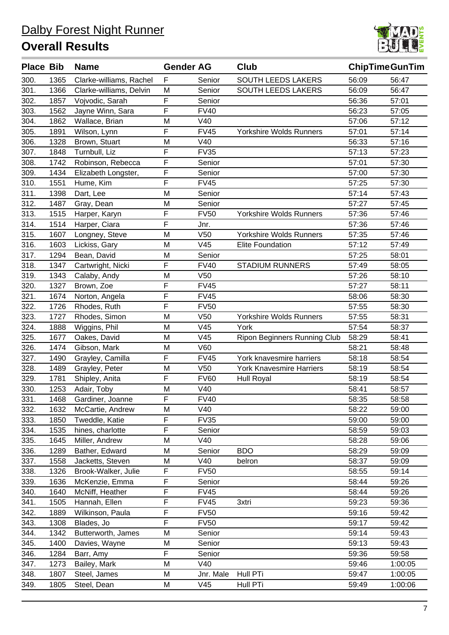

| <b>Place Bib</b> |      | <b>Name</b>             | <b>Gender AG</b> |                 | Club                                | <b>ChipTimeGunTim</b> |         |
|------------------|------|-------------------------|------------------|-----------------|-------------------------------------|-----------------------|---------|
| 300.             | 1365 | Clarke-williams, Rachel | F                | Senior          | <b>SOUTH LEEDS LAKERS</b>           | 56:09                 | 56:47   |
| 301.             | 1366 | Clarke-williams, Delvin | ${\sf M}$        | Senior          | SOUTH LEEDS LAKERS                  | 56:09                 | 56:47   |
| 302.             | 1857 | Vojvodic, Sarah         | $\mathsf F$      | Senior          |                                     | 56:36                 | 57:01   |
| 303.             | 1562 | Jayne Winn, Sara        | F                | <b>FV40</b>     |                                     | 56:23                 | 57:05   |
| 304.             | 1862 | Wallace, Brian          | M                | V40             |                                     | 57:06                 | 57:12   |
| 305.             | 1891 | Wilson, Lynn            | F                | <b>FV45</b>     | Yorkshire Wolds Runners             | 57:01                 | 57:14   |
| 306.             | 1328 | Brown, Stuart           | M                | V40             |                                     | 56:33                 | 57:16   |
| 307.             | 1848 | Turnbull, Liz           | F                | <b>FV35</b>     |                                     | 57:13                 | 57:23   |
| 308.             | 1742 | Robinson, Rebecca       | F                | Senior          |                                     | 57:01                 | 57:30   |
| 309.             | 1434 | Elizabeth Longster,     | $\mathsf F$      | Senior          |                                     | 57:00                 | 57:30   |
| 310.             | 1551 | Hume, Kim               | F                | <b>FV45</b>     |                                     | 57:25                 | 57:30   |
| 311.             | 1398 | Dart, Lee               | M                | Senior          |                                     | 57:14                 | 57:43   |
| 312.             | 1487 | Gray, Dean              | M                | Senior          |                                     | 57:27                 | 57:45   |
| 313.             | 1515 | Harper, Karyn           | F                | <b>FV50</b>     | Yorkshire Wolds Runners             | 57:36                 | 57:46   |
| 314.             | 1514 | Harper, Ciara           | F                | Jnr.            |                                     | 57:36                 | 57:46   |
| 315.             | 1607 | Longney, Steve          | M                | V <sub>50</sub> | <b>Yorkshire Wolds Runners</b>      | 57:35                 | 57:46   |
| 316.             | 1603 | Lickiss, Gary           | M                | V45             | <b>Elite Foundation</b>             | 57:12                 | 57:49   |
| 317.             | 1294 | Bean, David             | M                | Senior          |                                     | 57:25                 | 58:01   |
| 318.             | 1347 | Cartwright, Nicki       | F                | <b>FV40</b>     | <b>STADIUM RUNNERS</b>              | 57:49                 | 58:05   |
| 319.             | 1343 | Calaby, Andy            | M                | V <sub>50</sub> |                                     | 57:26                 | 58:10   |
| 320.             | 1327 | Brown, Zoe              | F                | <b>FV45</b>     |                                     | 57:27                 | 58:11   |
| 321.             | 1674 | Norton, Angela          | $\mathsf F$      | <b>FV45</b>     |                                     | 58:06                 | 58:30   |
| 322.             | 1726 | Rhodes, Ruth            | F                | <b>FV50</b>     |                                     | 57:55                 | 58:30   |
| 323.             | 1727 | Rhodes, Simon           | M                | V <sub>50</sub> | <b>Yorkshire Wolds Runners</b>      | 57:55                 | 58:31   |
| 324.             | 1888 | Wiggins, Phil           | M                | V45             | York                                | 57:54                 | 58:37   |
| 325.             | 1677 | Oakes, David            | M                | V45             | <b>Ripon Beginners Running Club</b> | 58:29                 | 58:41   |
| 326.             | 1474 | Gibson, Mark            | M                | V60             |                                     | 58:21                 | 58:48   |
| 327.             | 1490 | Grayley, Camilla        | F                | <b>FV45</b>     | York knavesmire harriers            | 58:18                 | 58:54   |
| 328.             | 1489 | Grayley, Peter          | M                | V <sub>50</sub> | <b>York Knavesmire Harriers</b>     | 58:19                 | 58:54   |
| 329.             | 1781 | Shipley, Anita          | F                | <b>FV60</b>     | <b>Hull Royal</b>                   | 58:19                 | 58:54   |
| 330.             | 1253 | Adair, Toby             | M                | V40             |                                     | 58:41                 | 58:57   |
| 331.             | 1468 | Gardiner, Joanne        | F                | <b>FV40</b>     |                                     | 58:35                 | 58:58   |
| 332.             | 1632 | McCartie, Andrew        | M                | V40             |                                     | 58:22                 | 59:00   |
| 333.             | 1850 | Tweddle, Katie          | F                | <b>FV35</b>     |                                     | 59:00                 | 59:00   |
| 334.             | 1535 | hines, charlotte        | F                | Senior          |                                     | 58:59                 | 59:03   |
| 335.             | 1645 | Miller, Andrew          | M                | V40             |                                     | 58:28                 | 59:06   |
| 336.             | 1289 | Bather, Edward          | M                | Senior          | <b>BDO</b>                          | 58:29                 | 59:09   |
| 337.             | 1558 | Jacketts, Steven        | M                | V40             | belron                              | 58:37                 | 59:09   |
| 338.             | 1326 | Brook-Walker, Julie     | F                | <b>FV50</b>     |                                     | 58:55                 | 59:14   |
| 339.             | 1636 | McKenzie, Emma          | $\mathsf F$      | Senior          |                                     | 58:44                 | 59:26   |
| 340.             | 1640 | McNiff, Heather         | F                | <b>FV45</b>     |                                     | 58:44                 | 59:26   |
| 341.             | 1505 | Hannah, Ellen           | $\mathsf F$      | <b>FV45</b>     | 3xtri                               | 59:23                 | 59:36   |
| 342.             | 1889 | Wilkinson, Paula        | $\mathsf F$      | <b>FV50</b>     |                                     | 59:16                 | 59:42   |
| 343.             | 1308 | Blades, Jo              | F                | <b>FV50</b>     |                                     | 59:17                 | 59:42   |
| 344.             | 1342 | Butterworth, James      | M                | Senior          |                                     | 59:14                 | 59:43   |
| 345.             | 1400 | Davies, Wayne           | M                | Senior          |                                     | 59:13                 | 59:43   |
| 346.             | 1284 | Barr, Amy               | F                | Senior          |                                     | 59:36                 | 59:58   |
| 347.             | 1273 | Bailey, Mark            | M                | V40             |                                     | 59:46                 | 1:00:05 |
| 348.             | 1807 | Steel, James            | M                | Jnr. Male       | Hull PTi                            | 59:47                 | 1:00:05 |
| 349.             | 1805 | Steel, Dean             | M                | V45             | Hull PTi                            | 59:49                 | 1:00:06 |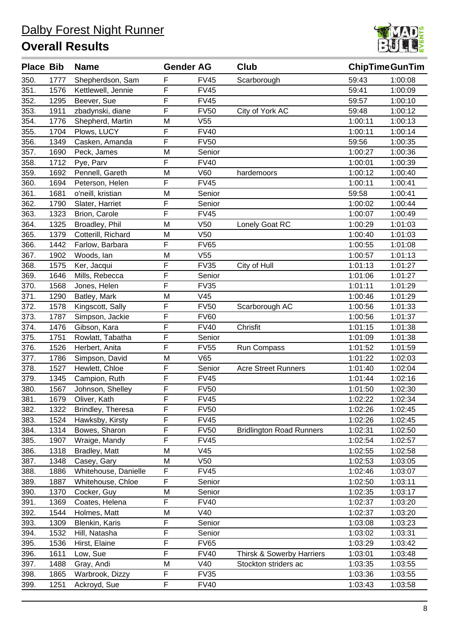

| <b>Place Bib</b> |      | <b>Name</b>          | <b>Gender AG</b> |                 | Club                            |         | <b>ChipTimeGunTim</b> |
|------------------|------|----------------------|------------------|-----------------|---------------------------------|---------|-----------------------|
| 350.             | 1777 | Shepherdson, Sam     | F                | <b>FV45</b>     | Scarborough                     | 59:43   | 1:00:08               |
| 351.             | 1576 | Kettlewell, Jennie   | F                | <b>FV45</b>     |                                 | 59:41   | 1:00:09               |
| 352.             | 1295 | Beever, Sue          | F                | <b>FV45</b>     |                                 | 59:57   | 1:00:10               |
| 353.             | 1911 | zbadynski, diane     | F                | <b>FV50</b>     | City of York AC                 | 59:48   | 1:00:12               |
| 354.             | 1776 | Shepherd, Martin     | M                | V <sub>55</sub> |                                 | 1:00:11 | 1:00:13               |
| 355.             | 1704 | Plows, LUCY          | F                | <b>FV40</b>     |                                 | 1:00:11 | 1:00:14               |
| 356.             | 1349 | Casken, Amanda       | F                | <b>FV50</b>     |                                 | 59:56   | 1:00:35               |
| 357.             | 1690 | Peck, James          | M                | Senior          |                                 | 1:00:27 | 1:00:36               |
| 358.             | 1712 | Pye, Parv            | F                | <b>FV40</b>     |                                 | 1:00:01 | 1:00:39               |
| 359.             | 1692 | Pennell, Gareth      | M                | <b>V60</b>      | hardemoors                      | 1:00:12 | 1:00:40               |
| 360.             | 1694 | Peterson, Helen      | F                | <b>FV45</b>     |                                 | 1:00:11 | 1:00:41               |
| 361.             | 1681 | o'neill, kristian    | M                | Senior          |                                 | 59:58   | 1:00:41               |
| 362.             | 1790 | Slater, Harriet      | F                | Senior          |                                 | 1:00:02 | 1:00:44               |
| 363.             | 1323 | Brion, Carole        | F                | <b>FV45</b>     |                                 | 1:00:07 | 1:00:49               |
| 364.             | 1325 | Broadley, Phil       | M                | V <sub>50</sub> | Lonely Goat RC                  | 1:00:29 | 1:01:03               |
| 365.             | 1379 | Cotterill, Richard   | M                | V <sub>50</sub> |                                 | 1:00:40 | 1:01:03               |
| 366.             | 1442 | Farlow, Barbara      | F                | <b>FV65</b>     |                                 | 1:00:55 | 1:01:08               |
| 367.             | 1902 | Woods, lan           | M                | V <sub>55</sub> |                                 | 1:00:57 | 1:01:13               |
| 368.             | 1575 | Ker, Jacqui          | F                | <b>FV35</b>     | City of Hull                    | 1:01:13 | 1:01:27               |
| 369.             | 1646 | Mills, Rebecca       | F                | Senior          |                                 | 1:01:06 | 1:01:27               |
| 370.             | 1568 | Jones, Helen         | F                | <b>FV35</b>     |                                 | 1:01:11 | 1:01:29               |
| 371.             | 1290 | Batley, Mark         | M                | V45             |                                 | 1:00:46 | 1:01:29               |
| 372.             | 1578 | Kingscott, Sally     | F                | <b>FV50</b>     | Scarborough AC                  | 1:00:56 | 1:01:33               |
| 373.             | 1787 | Simpson, Jackie      | F                | <b>FV60</b>     |                                 | 1:00:56 | 1:01:37               |
| 374.             | 1476 | Gibson, Kara         | F                | <b>FV40</b>     | Chrisfit                        | 1:01:15 | 1:01:38               |
| 375.             | 1751 | Rowlatt, Tabatha     | F                | Senior          |                                 | 1:01:09 | 1:01:38               |
| 376.             | 1526 | Herbert, Anita       | F                | <b>FV55</b>     | Run Compass                     | 1:01:52 | 1:01:59               |
| 377.             | 1786 | Simpson, David       | M                | V65             |                                 | 1:01:22 | 1:02:03               |
| 378.             | 1527 | Hewlett, Chloe       | F                | Senior          | <b>Acre Street Runners</b>      | 1:01:40 | 1:02:04               |
| 379.             | 1345 | Campion, Ruth        | F                | <b>FV45</b>     |                                 | 1:01:44 | 1:02:16               |
| 380.             | 1567 | Johnson, Shelley     | F                | <b>FV50</b>     |                                 | 1:01:50 | 1:02:30               |
| 381.             | 1679 | Oliver, Kath         | F                | <b>FV45</b>     |                                 | 1:02:22 | 1:02:34               |
| 382.             | 1322 | Brindley, Theresa    | F                | <b>FV50</b>     |                                 | 1:02:26 | 1:02:45               |
| 383.             | 1524 | Hawksby, Kirsty      | F                | <b>FV45</b>     |                                 | 1:02:26 | 1:02:45               |
| 384.             | 1314 | Bowes, Sharon        | F                | <b>FV50</b>     | <b>Bridlington Road Runners</b> | 1:02:31 | 1:02:50               |
| 385.             | 1907 | Wraige, Mandy        | F                | <b>FV45</b>     |                                 | 1:02:54 | 1:02:57               |
| 386.             | 1318 | Bradley, Matt        | M                | V45             |                                 | 1:02:55 | 1:02:58               |
| 387.             | 1348 | Casey, Gary          | M                | V <sub>50</sub> |                                 | 1:02:53 | 1:03:05               |
| 388.             | 1886 | Whitehouse, Danielle | F                | <b>FV45</b>     |                                 | 1:02:46 | 1:03:07               |
| 389.             | 1887 | Whitehouse, Chloe    | F                | Senior          |                                 | 1:02:50 | 1:03:11               |
| 390.             | 1370 | Cocker, Guy          | M                | Senior          |                                 | 1:02:35 | 1:03:17               |
| 391.             | 1369 | Coates, Helena       | F                | <b>FV40</b>     |                                 | 1:02:37 | 1:03:20               |
| 392.             | 1544 | Holmes, Matt         | M                | V40             |                                 | 1:02:37 | 1:03:20               |
| 393.             | 1309 | Blenkin, Karis       | F                | Senior          |                                 | 1:03:08 | 1:03:23               |
| 394.             | 1532 | Hill, Natasha        | F                | Senior          |                                 | 1:03:02 | 1:03:31               |
| 395.             | 1536 | Hirst, Elaine        | F                | <b>FV65</b>     |                                 | 1:03:29 | 1:03:42               |
| 396.             | 1611 | Low, Sue             | F                | <b>FV40</b>     | Thirsk & Sowerby Harriers       | 1:03:01 | 1:03:48               |
| 397.             | 1488 | Gray, Andi           | M                | V40             | Stockton striders ac            | 1:03:35 | 1:03:55               |
| 398.             | 1865 | Warbrook, Dizzy      | F                | <b>FV35</b>     |                                 | 1:03:36 | 1:03:55               |
| 399.             | 1251 | Ackroyd, Sue         | F                | <b>FV40</b>     |                                 | 1:03:43 | 1:03:58               |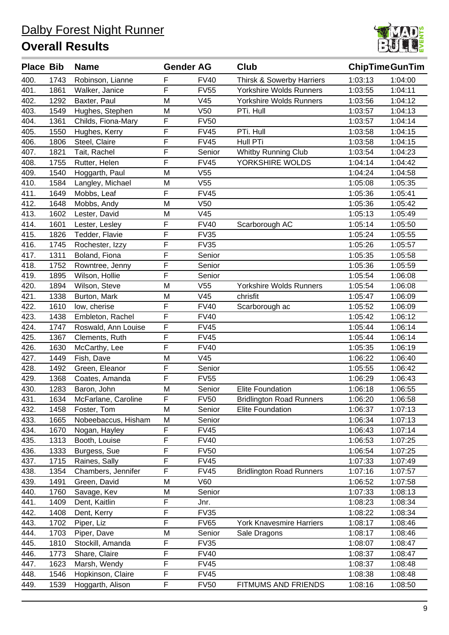

| <b>Place Bib</b> |      | <b>Name</b>         | <b>Gender AG</b> |                 | Club                            |         | <b>ChipTimeGunTim</b> |
|------------------|------|---------------------|------------------|-----------------|---------------------------------|---------|-----------------------|
| 400.             | 1743 | Robinson, Lianne    | F                | <b>FV40</b>     | Thirsk & Sowerby Harriers       | 1:03:13 | 1:04:00               |
| 401.             | 1861 | Walker, Janice      | F                | <b>FV55</b>     | <b>Yorkshire Wolds Runners</b>  | 1:03:55 | 1:04:11               |
| 402.             | 1292 | Baxter, Paul        | M                | V45             | <b>Yorkshire Wolds Runners</b>  | 1:03:56 | 1:04:12               |
| 403.             | 1549 | Hughes, Stephen     | M                | V <sub>50</sub> | PTi. Hull                       | 1:03:57 | 1:04:13               |
| 404.             | 1361 | Childs, Fiona-Mary  | F                | <b>FV50</b>     |                                 | 1:03:57 | 1:04:14               |
| 405.             | 1550 | Hughes, Kerry       | F                | <b>FV45</b>     | PTi. Hull                       | 1:03:58 | 1:04:15               |
| 406.             | 1806 | Steel, Claire       | F                | <b>FV45</b>     | Hull PTi                        | 1:03:58 | 1:04:15               |
| 407.             | 1821 | Tait, Rachel        | F                | Senior          | <b>Whitby Running Club</b>      | 1:03:54 | 1:04:23               |
| 408.             | 1755 | Rutter, Helen       | $\mathsf F$      | <b>FV45</b>     | YORKSHIRE WOLDS                 | 1:04:14 | 1:04:42               |
| 409.             | 1540 | Hoggarth, Paul      | M                | V <sub>55</sub> |                                 | 1:04:24 | 1:04:58               |
| 410.             | 1584 | Langley, Michael    | M                | V <sub>55</sub> |                                 | 1:05:08 | 1:05:35               |
| 411.             | 1649 | Mobbs, Leaf         | F                | <b>FV45</b>     |                                 | 1:05:36 | 1:05:41               |
| 412.             | 1648 | Mobbs, Andy         | M                | V <sub>50</sub> |                                 | 1:05:36 | 1:05:42               |
| 413.             | 1602 | Lester, David       | M                | V45             |                                 | 1:05:13 | 1:05:49               |
| 414.             | 1601 | Lester, Lesley      | F                | <b>FV40</b>     | Scarborough AC                  | 1:05:14 | 1:05:50               |
| 415.             | 1826 | Tedder, Flavie      | F                | <b>FV35</b>     |                                 | 1:05:24 | 1:05:55               |
| 416.             | 1745 | Rochester, Izzy     | F                | <b>FV35</b>     |                                 | 1:05:26 | 1:05:57               |
| 417.             | 1311 | Boland, Fiona       | F                | Senior          |                                 | 1:05:35 | 1:05:58               |
| 418.             | 1752 | Rowntree, Jenny     | $\mathsf F$      | Senior          |                                 | 1:05:36 | 1:05:59               |
| 419.             | 1895 | Wilson, Hollie      | F                | Senior          |                                 | 1:05:54 | 1:06:08               |
| 420.             | 1894 | Wilson, Steve       | M                | V <sub>55</sub> | Yorkshire Wolds Runners         | 1:05:54 | 1:06:08               |
| 421.             | 1338 | Burton, Mark        | M                | V45             | chrisfit                        | 1:05:47 | 1:06:09               |
| 422.             | 1610 | low, cherise        | F                | <b>FV40</b>     | Scarborough ac                  | 1:05:52 | 1:06:09               |
| 423.             | 1438 | Embleton, Rachel    | F                | <b>FV40</b>     |                                 | 1:05:42 | 1:06:12               |
| 424.             | 1747 | Roswald, Ann Louise | F                | <b>FV45</b>     |                                 | 1:05:44 | 1:06:14               |
| 425.             | 1367 | Clements, Ruth      | F                | <b>FV45</b>     |                                 | 1:05:44 | 1:06:14               |
| 426.             | 1630 | McCarthy, Lee       | F                | <b>FV40</b>     |                                 | 1:05:35 | 1:06:19               |
| 427.             | 1449 | Fish, Dave          | M                | V45             |                                 | 1:06:22 | 1:06:40               |
| 428.             | 1492 | Green, Eleanor      | F                | Senior          |                                 | 1:05:55 | 1:06:42               |
| 429.             | 1368 | Coates, Amanda      | F                | <b>FV55</b>     |                                 | 1:06:29 | 1:06:43               |
| 430.             | 1283 | Baron, John         | M                | Senior          | <b>Elite Foundation</b>         | 1:06:18 | 1:06:55               |
| 431.             | 1634 | McFarlane, Caroline | $\mathsf F$      | <b>FV50</b>     | <b>Bridlington Road Runners</b> | 1:06:20 | 1:06:58               |
| 432.             | 1458 | Foster, Tom         | M                | Senior          | Elite Foundation                | 1:06:37 | 1:07:13               |
| 433.             | 1665 | Nobeebaccus, Hisham | M                | Senior          |                                 | 1:06:34 | 1:07:13               |
| 434.             | 1670 | Nogan, Hayley       | F                | <b>FV45</b>     |                                 | 1:06:43 | 1:07:14               |
| 435.             | 1313 | Booth, Louise       | F                | <b>FV40</b>     |                                 | 1:06:53 | 1:07:25               |
| 436.             | 1333 | Burgess, Sue        | F                | <b>FV50</b>     |                                 | 1:06:54 | 1:07:25               |
| 437.             | 1715 | Raines, Sally       | F                | <b>FV45</b>     |                                 | 1:07:33 | 1:07:49               |
| 438.             | 1354 | Chambers, Jennifer  | F                | <b>FV45</b>     | <b>Bridlington Road Runners</b> | 1:07:16 | 1:07:57               |
| 439.             | 1491 | Green, David        | M                | V60             |                                 | 1:06:52 | 1:07:58               |
| 440.             | 1760 | Savage, Kev         | M                | Senior          |                                 | 1:07:33 | 1:08:13               |
| 441.             | 1409 | Dent, Kaitlin       | F                | Jnr.            |                                 | 1:08:23 | 1:08:34               |
| 442.             | 1408 | Dent, Kerry         | F                | <b>FV35</b>     |                                 | 1:08:22 | 1:08:34               |
| 443.             | 1702 | Piper, Liz          | F                | <b>FV65</b>     | <b>York Knavesmire Harriers</b> | 1:08:17 | 1:08:46               |
| 444.             | 1703 | Piper, Dave         | M                | Senior          | Sale Dragons                    | 1:08:17 | 1:08:46               |
| 445.             | 1810 | Stockill, Amanda    | F                | <b>FV35</b>     |                                 | 1:08:07 | 1:08:47               |
| 446.             | 1773 | Share, Claire       | F                | <b>FV40</b>     |                                 | 1:08:37 | 1:08:47               |
| 447.             | 1623 | Marsh, Wendy        | F                | <b>FV45</b>     |                                 | 1:08:37 | 1:08:48               |
| 448.             | 1546 | Hopkinson, Claire   | F                | <b>FV45</b>     |                                 | 1:08:38 | 1:08:48               |
| 449.             | 1539 | Hoggarth, Alison    | F                | <b>FV50</b>     | FITMUMS AND FRIENDS             | 1:08:16 | 1:08:50               |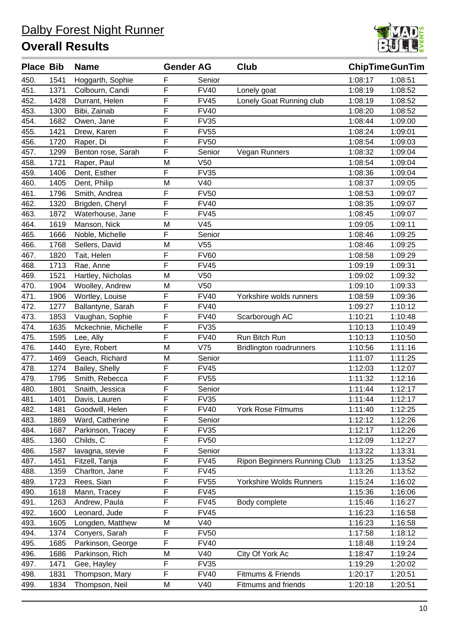

| <b>Place Bib</b> |      | <b>Name</b>         | <b>Gender AG</b> |                 | Club                           | <b>ChipTimeGunTim</b> |         |
|------------------|------|---------------------|------------------|-----------------|--------------------------------|-----------------------|---------|
| 450.             | 1541 | Hoggarth, Sophie    | F                | Senior          |                                | 1:08:17               | 1:08:51 |
| 451.             | 1371 | Colbourn, Candi     | F                | <b>FV40</b>     | Lonely goat                    | 1:08:19               | 1:08:52 |
| 452.             | 1428 | Durrant, Helen      | F                | <b>FV45</b>     | Lonely Goat Running club       | 1:08:19               | 1:08:52 |
| 453.             | 1300 | Bibi, Zainab        | F                | <b>FV40</b>     |                                | 1:08:20               | 1:08:52 |
| 454.             | 1682 | Owen, Jane          | F                | <b>FV35</b>     |                                | 1:08:44               | 1:09:00 |
| 455.             | 1421 | Drew, Karen         | F                | <b>FV55</b>     |                                | 1:08:24               | 1:09:01 |
| 456.             | 1720 | Raper, Di           | F                | <b>FV50</b>     |                                | 1:08:54               | 1:09:03 |
| 457.             | 1299 | Benton rose, Sarah  | F                | Senior          | Vegan Runners                  | 1:08:32               | 1:09:04 |
| 458.             | 1721 | Raper, Paul         | M                | V <sub>50</sub> |                                | 1:08:54               | 1:09:04 |
| 459.             | 1406 | Dent, Esther        | F                | <b>FV35</b>     |                                | 1:08:36               | 1:09:04 |
| 460.             | 1405 | Dent, Philip        | M                | V40             |                                | 1:08:37               | 1:09:05 |
| 461.             | 1796 | Smith, Andrea       | F                | <b>FV50</b>     |                                | 1:08:53               | 1:09:07 |
| 462.             | 1320 | Brigden, Cheryl     | F                | <b>FV40</b>     |                                | 1:08:35               | 1:09:07 |
| 463.             | 1872 | Waterhouse, Jane    | F                | <b>FV45</b>     |                                | 1:08:45               | 1:09:07 |
| 464.             | 1619 | Manson, Nick        | M                | V45             |                                | 1:09:05               | 1:09:11 |
| 465.             | 1666 | Noble, Michelle     | F                | Senior          |                                | 1:08:46               | 1:09:25 |
| 466.             | 1768 | Sellers, David      | M                | V <sub>55</sub> |                                | 1:08:46               | 1:09:25 |
| 467.             | 1820 | Tait, Helen         | F                | <b>FV60</b>     |                                | 1:08:58               | 1:09:29 |
| 468.             | 1713 | Rae, Anne           | F                | <b>FV45</b>     |                                | 1:09:19               | 1:09:31 |
| 469.             | 1521 | Hartley, Nicholas   | M                | V <sub>50</sub> |                                | 1:09:02               | 1:09:32 |
| 470.             | 1904 | Woolley, Andrew     | M                | V <sub>50</sub> |                                | 1:09:10               | 1:09:33 |
| 471.             | 1906 | Wortley, Louise     | F                | <b>FV40</b>     | Yorkshire wolds runners        | 1:08:59               | 1:09:36 |
| 472.             | 1277 | Ballantyne, Sarah   | F                | <b>FV40</b>     |                                | 1:09:27               | 1:10:12 |
| 473.             | 1853 | Vaughan, Sophie     | F                | <b>FV40</b>     | Scarborough AC                 | 1:10:21               | 1:10:48 |
| 474.             | 1635 | Mckechnie, Michelle | $\mathsf F$      | <b>FV35</b>     |                                | 1:10:13               | 1:10:49 |
| 475.             | 1595 | Lee, Ally           | F                | <b>FV40</b>     | Run Bitch Run                  | 1:10:13               | 1:10:50 |
| 476.             | 1440 | Eyre, Robert        | M                | V75             | <b>Bridlington roadrunners</b> | 1:10:56               | 1:11:16 |
| 477.             | 1469 | Geach, Richard      | M                | Senior          |                                | 1:11:07               | 1:11:25 |
| 478.             | 1274 | Bailey, Shelly      | F                | <b>FV45</b>     |                                | 1:12:03               | 1:12:07 |
| 479.             | 1795 | Smith, Rebecca      | F                | <b>FV55</b>     |                                | 1:11:32               | 1:12:16 |
| 480.             | 1801 | Snaith, Jessica     | F                | Senior          |                                | 1:11:44               | 1:12:17 |
| 481.             | 1401 | Davis, Lauren       | F                | <b>FV35</b>     |                                | 1:11:44               | 1:12:17 |
| 482.             | 1481 | Goodwill, Helen     | F                | <b>FV40</b>     | <b>York Rose Fitmums</b>       | 1:11:40               | 1:12:25 |
| 483.             | 1869 | Ward, Catherine     | F                | Senior          |                                | 1:12:12               | 1:12:26 |
| 484.             | 1687 | Parkinson, Tracey   | $\mathsf F$      | <b>FV35</b>     |                                | 1:12:17               | 1:12:26 |
| 485.             | 1360 | Childs, C           | F                | <b>FV50</b>     |                                | 1:12:09               | 1:12:27 |
| 486.             | 1587 | lavagna, stevie     | F                | Senior          |                                | 1:13:22               | 1:13:31 |
| 487.             | 1451 | Fitzell, Tanja      | F                | <b>FV45</b>     | Ripon Beginners Running Club   | 1:13:25               | 1:13:52 |
| 488.             | 1359 | Charlton, Jane      | $\mathsf F$      | <b>FV45</b>     |                                | 1:13:26               | 1:13:52 |
| 489.             | 1723 | Rees, Sian          | F                | <b>FV55</b>     | Yorkshire Wolds Runners        | 1:15:24               | 1:16:02 |
| 490.             | 1618 | Mann, Tracey        | F                | <b>FV45</b>     |                                | 1:15:36               | 1:16:06 |
| 491.             | 1263 | Andrew, Paula       | F                | <b>FV45</b>     | Body complete                  | 1:15:46               | 1:16:27 |
| 492.             | 1600 | Leonard, Jude       | F                | <b>FV45</b>     |                                | 1:16:23               | 1:16:58 |
| 493.             | 1605 | Longden, Matthew    | M                | V40             |                                | 1:16:23               | 1:16:58 |
| 494.             | 1374 | Conyers, Sarah      | F                | <b>FV50</b>     |                                | 1:17:58               | 1:18:12 |
| 495.             | 1685 | Parkinson, George   | F                | <b>FV40</b>     |                                | 1:18:48               | 1:19:24 |
| 496.             | 1686 | Parkinson, Rich     | М                | V40             | City Of York Ac                | 1:18:47               | 1:19:24 |
| 497.             | 1471 | Gee, Hayley         | F                | <b>FV35</b>     |                                | 1:19:29               | 1:20:02 |
| 498.             | 1831 | Thompson, Mary      | F                | <b>FV40</b>     | Fitmums & Friends              | 1:20:17               | 1:20:51 |
| 499.             | 1834 | Thompson, Neil      | M                | V40             | Fitmums and friends            | 1:20:18               | 1:20:51 |